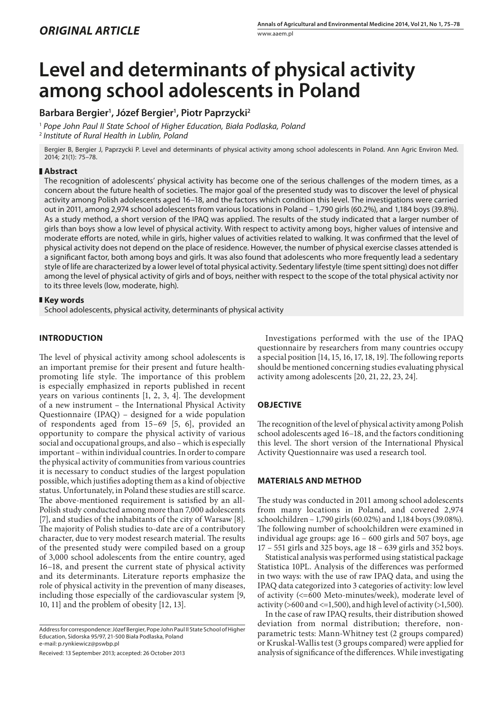# **Level and determinants of physical activity among school adolescents in Poland**

# **Barbara Bergier1 , Józef Bergier1 , Piotr Paprzycki2**

<sup>1</sup> *Pope John Paul II State School of Higher Education, Biała Podlaska, Poland* <sup>2</sup> *Institute of Rural Health in Lublin, Poland*

Bergier B, Bergier J, Paprzycki P. Level and determinants of physical activity among school adolescents in Poland. Ann Agric Environ Med. 2014; 21(1): 75–78.

# **Abstract**

The recognition of adolescents' physical activity has become one of the serious challenges of the modern times, as a concern about the future health of societies. The major goal of the presented study was to discover the level of physical activity among Polish adolescents aged 16–18, and the factors which condition this level. The investigations were carried out in 2011, among 2,974 school adolescents from various locations in Poland – 1,790 girls (60.2%), and 1,184 boys (39.8%). As a study method, a short version of the IPAQ was applied. The results of the study indicated that a larger number of girls than boys show a low level of physical activity. With respect to activity among boys, higher values of intensive and moderate efforts are noted, while in girls, higher values of activities related to walking. It was confirmed that the level of physical activity does not depend on the place of residence. However, the number of physical exercise classes attended is a significant factor, both among boys and girls. It was also found that adolescents who more frequently lead a sedentary style of life are characterized by a lower level of total physical activity. Sedentary lifestyle (time spent sitting) does not differ among the level of physical activity of girls and of boys, neither with respect to the scope of the total physical activity nor to its three levels (low, moderate, high).

### **Key words**

School adolescents, physical activity, determinants of physical activity

# **INTRODUCTION**

The level of physical activity among school adolescents is an important premise for their present and future healthpromoting life style. The importance of this problem is especially emphasized in reports published in recent years on various continents [1, 2, 3, 4]. The development of a new instrument – the International Physical Activity Questionnaire (IPAQ) – designed for a wide population of respondents aged from 15–69 [5, 6], provided an opportunity to compare the physical activity of various social and occupational groups, and also – which is especially important – within individual countries. In order to compare the physical activity of communities from various countries it is necessary to conduct studies of the largest population possible, which justifies adopting them as a kind of objective status. Unfortunately, in Poland these studies are still scarce. The above-mentioned requirement is satisfied by an all-Polish study conducted among more than 7,000 adolescents [7], and studies of the inhabitants of the city of Warsaw [8]. The majority of Polish studies to-date are of a contributory character, due to very modest research material. The results of the presented study were compiled based on a group of 3,000 school adolescents from the entire country, aged 16–18, and present the current state of physical activity and its determinants. Literature reports emphasize the role of physical activity in the prevention of many diseases, including those especially of the cardiovascular system [9, 10, 11] and the problem of obesity [12, 13].

Address for correspondence: Józef Bergier, Pope John Paul II State School of Higher Education, Sidorska 95/97, 21-500 Biała Podlaska, Poland e-mail: p.rynkiewicz@pswbp.pl

Received: 13 September 2013; accepted: 26 October 2013

Investigations performed with the use of the IPAQ questionnaire by researchers from many countries occupy a special position [14, 15, 16, 17, 18, 19]. The following reports should be mentioned concerning studies evaluating physical activity among adolescents [20, 21, 22, 23, 24].

# **OBJECTIVE**

The recognition of the level of physical activity among Polish school adolescents aged 16–18, and the factors conditioning this level. The short version of the International Physical Activity Questionnaire was used a research tool.

# **MATERIALS AND METHOD**

The study was conducted in 2011 among school adolescents from many locations in Poland, and covered 2,974 schoolchildren – 1,790 girls (60.02%) and 1,184 boys (39.08%). The following number of schoolchildren were examined in individual age groups: age 16 – 600 girls and 507 boys, age 17 – 551 girls and 325 boys, age 18 – 639 girls and 352 boys.

Statistical analysis was performed using statistical package Statistica 10PL. Analysis of the differences was performed in two ways: with the use of raw IPAQ data, and using the IPAQ data categorized into 3 categories of activity: low level of activity (<=600 Meto-minutes/week), moderate level of activity ( $>600$  and  $<=1,500$ ), and high level of activity ( $>1,500$ ).

In the case of raw IPAQ results, their distribution showed deviation from normal distribution; therefore, nonparametric tests: Mann-Whitney test (2 groups compared) or Kruskal-Wallis test (3 groups compared) were applied for analysis of significance of the differences. While investigating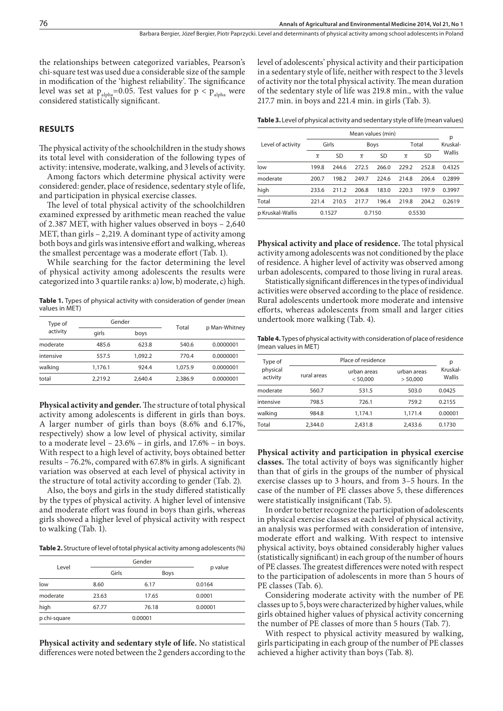the relationships between categorized variables, Pearson's chi-square test was used due a considerable size of the sample in modification of the 'highest reliability'. The significance level was set at  $p_{\text{alpha}}$ =0.05. Test values for  $p < p_{\text{alpha}}$  were considered statistically significant.

#### **RESULTS**

The physical activity of the schoolchildren in the study shows its total level with consideration of the following types of activity: intensive, moderate, walking, and 3 levels of activity.

Among factors which determine physical activity were considered: gender, place of residence, sedentary style of life, and participation in physical exercise classes.

The level of total physical activity of the schoolchildren examined expressed by arithmetic mean reached the value of 2.387 MET, with higher values observed in boys – 2,640 MET, than girls – 2,219. A dominant type of activity among both boys and girls was intensive effort and walking, whereas the smallest percentage was a moderate effort (Tab. 1).

While searching for the factor determining the level of physical activity among adolescents the results were categorized into 3 quartile ranks: a) low, b) moderate, c) high.

Table 1. Types of physical activity with consideration of gender (mean values in MET)

| Type of<br>activity | Gender  |         |         | p Man-Whitney |  |
|---------------------|---------|---------|---------|---------------|--|
|                     | girls   | boys    | Total   |               |  |
| moderate            | 485.6   | 623.8   | 540.6   | 0.0000001     |  |
| intensive           | 557.5   | 1.092.2 | 770.4   | 0.0000001     |  |
| walking             | 1,176.1 | 924.4   | 1.075.9 | 0.0000001     |  |
| total               | 2.219.2 | 2.640.4 | 2,386.9 | 0.0000001     |  |

**Physical activity and gender.** The structure of total physical activity among adolescents is different in girls than boys. A larger number of girls than boys (8.6% and 6.17%, respectively) show a low level of physical activity, similar to a moderate level – 23.6% – in girls, and 17.6% – in boys. With respect to a high level of activity, boys obtained better results – 76.2%, compared with 67.8% in girls. A significant variation was observed at each level of physical activity in the structure of total activity according to gender (Tab. 2).

Also, the boys and girls in the study differed statistically by the types of physical activity. A higher level of intensive and moderate effort was found in boys than girls, whereas girls showed a higher level of physical activity with respect to walking (Tab. 1).

**Table 2.** Structure of level of total physical activity among adolescents (%)

| Level        |       |             |         |
|--------------|-------|-------------|---------|
|              | Girls | <b>Boys</b> | p value |
| low          | 8.60  | 6.17        | 0.0164  |
| moderate     | 23.63 | 17.65       | 0.0001  |
| high         | 67.77 | 76.18       | 0.00001 |
| p chi-square |       | 0.00001     |         |

**Physical activity and sedentary style of life.** No statistical differences were noted between the 2 genders according to the level of adolescents' physical activity and their participation in a sedentary style of life, neither with respect to the 3 levels of activity nor the total physical activity. The mean duration of the sedentary style of life was 219.8 min., with the value 217.7 min. in boys and 221.4 min. in girls (Tab. 3).

**Table 3.** Level of physical activity and sedentary style of life (mean values)

|                   | Mean values (min) |       |                |       |                |           |               |
|-------------------|-------------------|-------|----------------|-------|----------------|-----------|---------------|
| Level of activity | Girls             |       | Boys           |       | Total          |           | р<br>Kruskal- |
|                   | $\overline{x}$    | SD    | $\overline{x}$ | SD    | $\overline{x}$ | <b>SD</b> | Wallis        |
| low               | 199.8             | 244.6 | 272.5          | 266.0 | 229.2          | 252.8     | 0.4325        |
| moderate          | 200.7             | 198.2 | 249.7          | 224.6 | 214.8          | 206.4     | 0.2899        |
| high              | 233.6             | 211.2 | 206.8          | 183.0 | 220.3          | 197.9     | 0.3997        |
| Total             | 221.4             | 210.5 | 217.7          | 196.4 | 219.8          | 204.2     | 0.2619        |
| p Kruskal-Wallis  | 0.1527            |       | 0.7150         |       | 0.5530         |           |               |

**Physical activity and place of residence.** The total physical activity among adolescents was not conditioned by the place of residence. A higher level of activity was observed among urban adolescents, compared to those living in rural areas.

Statistically significant differences in the types of individual activities were observed according to the place of residence. Rural adolescents undertook more moderate and intensive efforts, whereas adolescents from small and larger cities undertook more walking (Tab. 4).

**Table 4.** Types of physical activity with consideration of place of residence (mean values in MET)

| Type of<br>physical<br>activity |             | Place of residence      |                         |                         |  |  |  |
|---------------------------------|-------------|-------------------------|-------------------------|-------------------------|--|--|--|
|                                 | rural areas | urban areas<br>< 50.000 | urban areas<br>> 50.000 | р<br>Kruskal-<br>Wallis |  |  |  |
| moderate                        | 560.7       | 531.5                   | 503.0                   | 0.0425                  |  |  |  |
| intensive                       | 798.5       | 726.1                   | 759.2                   | 0.2155                  |  |  |  |
| walking                         | 984.8       | 1.174.1                 | 1.171.4                 | 0.00001                 |  |  |  |
| Total                           | 2,344.0     | 2,431.8                 | 2.433.6                 | 0.1730                  |  |  |  |

**Physical activity and participation in physical exercise classes.** The total activity of boys was significantly higher than that of girls in the groups of the number of physical exercise classes up to 3 hours, and from 3–5 hours. In the case of the number of PE classes above 5, these differences were statistically insignificant (Tab. 5).

In order to better recognize the participation of adolescents in physical exercise classes at each level of physical activity, an analysis was performed with consideration of intensive, moderate effort and walking. With respect to intensive physical activity, boys obtained considerably higher values (statistically significant) in each group of the number of hours of PE classes. The greatest differences were noted with respect to the participation of adolescents in more than 5 hours of PE classes (Tab. 6).

Considering moderate activity with the number of PE classes up to 5, boys were characterized by higher values, while girls obtained higher values of physical activity concerning the number of PE classes of more than 5 hours (Tab. 7).

With respect to physical activity measured by walking, girls participating in each group of the number of PE classes achieved a higher activity than boys (Tab. 8).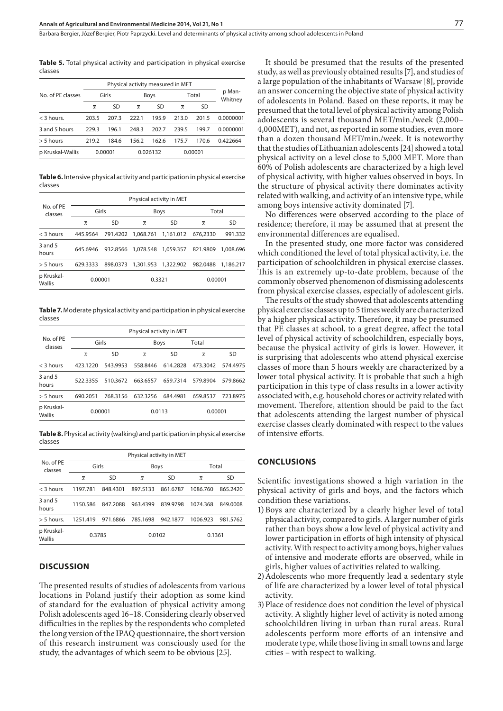**Table 5.** Total physical activity and participation in physical exercise classes

| No. of PE classes | Girls          |           | <b>Boys</b>    |       | Total          |           | p Man-<br>Whitney |
|-------------------|----------------|-----------|----------------|-------|----------------|-----------|-------------------|
|                   | $\overline{x}$ | <b>SD</b> | $\overline{x}$ | SD    | $\overline{x}$ | <b>SD</b> |                   |
| $<$ 3 hours.      | 203.5          | 207.3     | 222.1          | 195.9 | 213.0          | 201.5     | 0.0000001         |
| 3 and 5 hours     | 229.3          | 196.1     | 248.3          | 202.7 | 239.5          | 199.7     | 0.0000001         |
| $> 5$ hours       | 219.2          | 184 6     | 156.2          | 162.6 | 175.7          | 170.6     | 0.422664          |
| p Kruskal-Wallis  | 0.00001        |           | 0.026132       |       | 0.00001        |           |                   |

**Table 6.** Intensive physical activity and participation in physical exercise classes

| No. of PE<br>classes | Physical activity in MET |           |                    |                                |                |           |  |
|----------------------|--------------------------|-----------|--------------------|--------------------------------|----------------|-----------|--|
|                      | Girls                    |           |                    | <b>Boys</b>                    | Total          |           |  |
|                      | $\overline{x}$           | <b>SD</b> | $\overline{x}$     | SD                             | $\overline{x}$ | SD        |  |
| $<$ 3 hours          | 445.9564                 |           | 791.4202 1.068.761 | 1,161.012                      | 676,2330       | 991.332   |  |
| $3$ and $5$<br>hours | 645.6946                 | 932.8566  |                    |                                | 821.9809       | 1.008.696 |  |
| $> 5$ hours          | 629.3333                 | 898.0373  |                    | 1.301.953  1.322.902  982.0488 |                | 1.186.217 |  |
| p Kruskal-<br>Wallis | 0.00001                  |           | 0.3321             |                                | 0.00001        |           |  |

**Table 7.** Moderate physical activity and participation in physical exercise classes

| No. of PE<br>classes | Physical activity in MET |          |                |          |                |          |  |  |
|----------------------|--------------------------|----------|----------------|----------|----------------|----------|--|--|
|                      | Girls                    |          | <b>Boys</b>    |          | Total          |          |  |  |
|                      | $\overline{x}$           | SD       | $\overline{x}$ | SD       | $\overline{x}$ | SD       |  |  |
| < 3 hours            | 423.1220                 | 543.9953 | 558.8446       | 614.2828 | 473.3042       | 574.4975 |  |  |
| $3$ and $5$<br>hours | 522.3355                 | 510.3672 | 663.6557       | 659.7314 | 579.8904       | 579.8662 |  |  |
| > 5 hours            | 690.2051                 | 768.3156 | 632.3256       | 684.4981 | 659.8537       | 723.8975 |  |  |
| p Kruskal-<br>Wallis | 0.00001                  |          | 0.0113         |          | 0.00001        |          |  |  |

**Table 8.** Physical activity (walking) and participation in physical exercise classes

| No. of PE<br>classes        | Physical activity in MET |           |                |           |                |          |  |
|-----------------------------|--------------------------|-----------|----------------|-----------|----------------|----------|--|
|                             | Girls                    |           | <b>Boys</b>    |           | Total          |          |  |
|                             | $\overline{x}$           | <b>SD</b> | $\overline{x}$ | <b>SD</b> | $\overline{x}$ | SD       |  |
| < 3 hours                   | 1197.781                 | 848.4301  | 897.5133       | 861.6787  | 1086.760       | 865.2420 |  |
| $3$ and $5$<br>hours        | 1150.586                 | 847.2088  | 963.4399       | 839.9798  | 1074.368       | 849,0008 |  |
| $> 5$ hours.                | 1251.419                 | 971.6866  | 785.1698       | 942.1877  | 1006.923       | 981.5762 |  |
| p Kruskal-<br><b>Wallis</b> | 0.3785                   |           | 0.0102         |           | 0.1361         |          |  |

#### **DISCUSSION**

The presented results of studies of adolescents from various locations in Poland justify their adoption as some kind of standard for the evaluation of physical activity among Polish adolescents aged 16–18. Considering clearly observed difficulties in the replies by the respondents who completed the long version of the IPAQ questionnaire, the short version of this research instrument was consciously used for the study, the advantages of which seem to be obvious [25].

It should be presumed that the results of the presented study, as well as previously obtained results [7], and studies of a large population of the inhabitants of Warsaw [8], provide an answer concerning the objective state of physical activity of adolescents in Poland. Based on these reports, it may be presumed that the total level of physical activity among Polish adolescents is several thousand MET/min./week (2,000– 4,000MET), and not, as reported in some studies, even more than a dozen thousand MET/min./week. It is noteworthy that the studies of Lithuanian adolescents [24] showed a total physical activity on a level close to 5,000 MET. More than 60% of Polish adolescents are characterized by a high level of physical activity, with higher values observed in boys. In the structure of physical activity there dominates activity related with walking, and activity of an intensive type, while among boys intensive activity dominated [7].

No differences were observed according to the place of residence; therefore, it may be assumed that at present the environmental differences are equalised.

In the presented study, one more factor was considered which conditioned the level of total physical activity, i.e. the participation of schoolchildren in physical exercise classes. This is an extremely up-to-date problem, because of the commonly observed phenomenon of dismissing adolescents from physical exercise classes, especially of adolescent girls.

The results of the study showed that adolescents attending physical exercise classes up to 5 times weekly are characterized by a higher physical activity. Therefore, it may be presumed that PE classes at school, to a great degree, affect the total level of physical activity of schoolchildren, especially boys, because the physical activity of girls is lower. However, it is surprising that adolescents who attend physical exercise classes of more than 5 hours weekly are characterized by a lower total physical activity. It is probable that such a high participation in this type of class results in a lower activity associated with, e.g. household chores or activity related with movement. Therefore, attention should be paid to the fact that adolescents attending the largest number of physical exercise classes clearly dominated with respect to the values of intensive efforts.

#### **CONCLUSIONS**

Scientific investigations showed a high variation in the physical activity of girls and boys, and the factors which condition these variations.

- 1)Boys are characterized by a clearly higher level of total physical activity, compared to girls. A larger number of girls rather than boys show a low level of physical activity and lower participation in efforts of high intensity of physical activity. With respect to activity among boys, higher values of intensive and moderate efforts are observed, while in girls, higher values of activities related to walking.
- 2)Adolescents who more frequently lead a sedentary style of life are characterized by a lower level of total physical activity.
- 3)Place of residence does not condition the level of physical activity. A slightly higher level of activity is noted among schoolchildren living in urban than rural areas. Rural adolescents perform more efforts of an intensive and moderate type, while those living in small towns and large cities – with respect to walking.